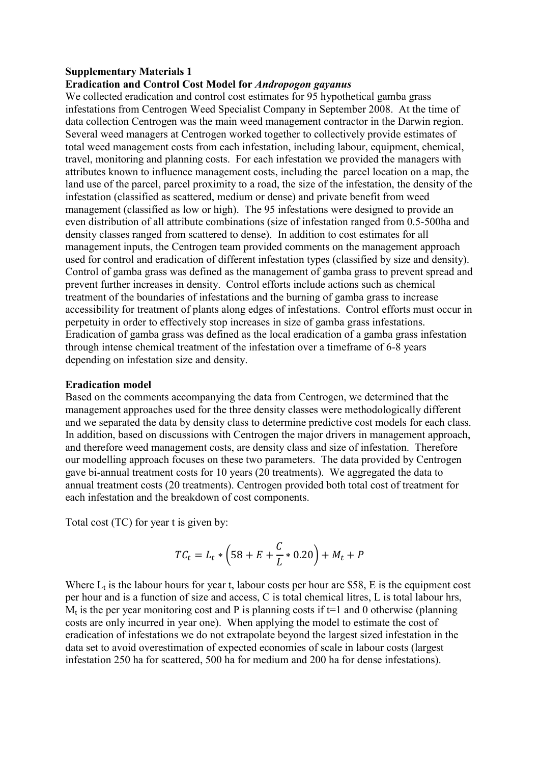### **Supplementary Materials 1**

#### **Eradication and Control Cost Model for** *Andropogon gayanus*

We collected eradication and control cost estimates for 95 hypothetical gamba grass infestations from Centrogen Weed Specialist Company in September 2008. At the time of data collection Centrogen was the main weed management contractor in the Darwin region. Several weed managers at Centrogen worked together to collectively provide estimates of total weed management costs from each infestation, including labour, equipment, chemical, travel, monitoring and planning costs. For each infestation we provided the managers with attributes known to influence management costs, including the parcel location on a map, the land use of the parcel, parcel proximity to a road, the size of the infestation, the density of the infestation (classified as scattered, medium or dense) and private benefit from weed management (classified as low or high). The 95 infestations were designed to provide an even distribution of all attribute combinations (size of infestation ranged from 0.5-500ha and density classes ranged from scattered to dense). In addition to cost estimates for all management inputs, the Centrogen team provided comments on the management approach used for control and eradication of different infestation types (classified by size and density). Control of gamba grass was defined as the management of gamba grass to prevent spread and prevent further increases in density. Control efforts include actions such as chemical treatment of the boundaries of infestations and the burning of gamba grass to increase accessibility for treatment of plants along edges of infestations. Control efforts must occur in perpetuity in order to effectively stop increases in size of gamba grass infestations. Eradication of gamba grass was defined as the local eradication of a gamba grass infestation through intense chemical treatment of the infestation over a timeframe of 6-8 years depending on infestation size and density.

#### **Eradication model**

Based on the comments accompanying the data from Centrogen, we determined that the management approaches used for the three density classes were methodologically different and we separated the data by density class to determine predictive cost models for each class. In addition, based on discussions with Centrogen the major drivers in management approach, and therefore weed management costs, are density class and size of infestation. Therefore our modelling approach focuses on these two parameters. The data provided by Centrogen gave bi-annual treatment costs for 10 years (20 treatments). We aggregated the data to annual treatment costs (20 treatments). Centrogen provided both total cost of treatment for each infestation and the breakdown of cost components.

Total cost (TC) for year t is given by:

$$
TC_t = L_t * (58 + E + \frac{C}{L} * 0.20) + M_t + P
$$

Where  $L_t$  is the labour hours for year t, labour costs per hour are \$58, E is the equipment cost per hour and is a function of size and access, C is total chemical litres, L is total labour hrs,  $M_t$  is the per year monitoring cost and P is planning costs if t=1 and 0 otherwise (planning costs are only incurred in year one). When applying the model to estimate the cost of eradication of infestations we do not extrapolate beyond the largest sized infestation in the data set to avoid overestimation of expected economies of scale in labour costs (largest infestation 250 ha for scattered, 500 ha for medium and 200 ha for dense infestations).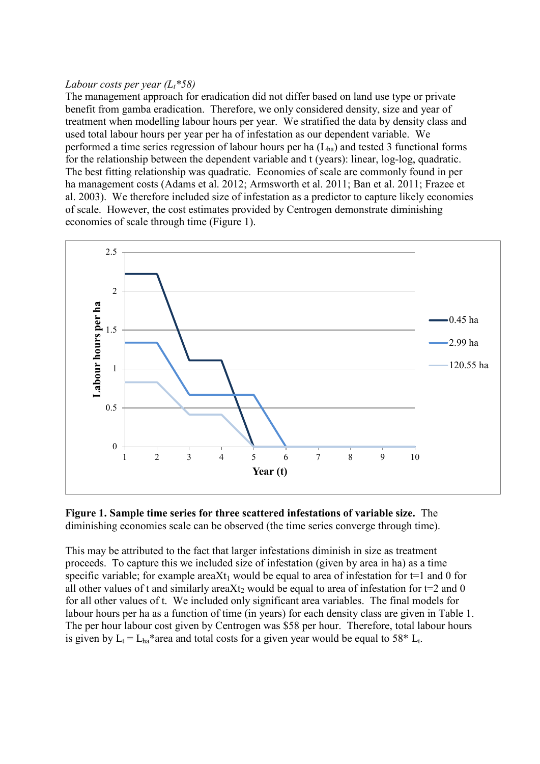### *Labour costs per year (L<sup>t</sup> \*58)*

The management approach for eradication did not differ based on land use type or private benefit from gamba eradication. Therefore, we only considered density, size and year of treatment when modelling labour hours per year. We stratified the data by density class and used total labour hours per year per ha of infestation as our dependent variable. We performed a time series regression of labour hours per ha  $(L<sub>ha</sub>)$  and tested 3 functional forms for the relationship between the dependent variable and t (years): linear, log-log, quadratic. The best fitting relationship was quadratic. Economies of scale are commonly found in per ha management costs [\(Adams et al. 2012;](#page-5-0) [Armsworth et al. 2011;](#page-5-1) [Ban et al. 2011;](#page-5-2) [Frazee et](#page-5-3)  [al. 2003\)](#page-5-3). We therefore included size of infestation as a predictor to capture likely economies of scale. However, the cost estimates provided by Centrogen demonstrate diminishing economies of scale through time (Figure 1).





This may be attributed to the fact that larger infestations diminish in size as treatment proceeds. To capture this we included size of infestation (given by area in ha) as a time specific variable; for example areaXt<sub>1</sub> would be equal to area of infestation for t=1 and 0 for all other values of t and similarly areaXt<sub>2</sub> would be equal to area of infestation for t=2 and 0 for all other values of t. We included only significant area variables. The final models for labour hours per ha as a function of time (in years) for each density class are given in Table 1. The per hour labour cost given by Centrogen was \$58 per hour. Therefore, total labour hours is given by  $L_t = L_{ha}^*$  area and total costs for a given year would be equal to 58<sup>\*</sup> L<sub>t</sub>.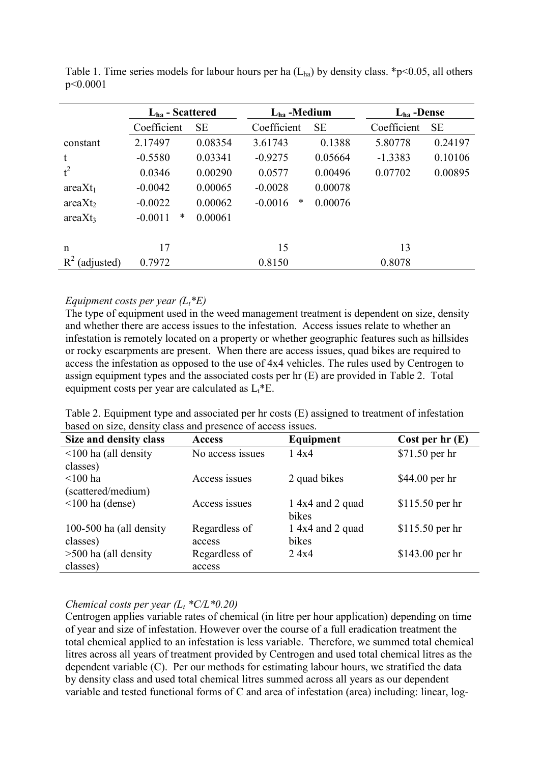|                     | $L_{ha}$ - Scattered |           | $L_{ha}$ -Medium |           | $L_{ha}$ -Dense |           |
|---------------------|----------------------|-----------|------------------|-----------|-----------------|-----------|
|                     | Coefficient          | <b>SE</b> | Coefficient      | <b>SE</b> | Coefficient     | <b>SE</b> |
| constant            | 2.17497              | 0.08354   | 3.61743          | 0.1388    | 5.80778         | 0.24197   |
| t                   | $-0.5580$            | 0.03341   | $-0.9275$        | 0.05664   | $-1.3383$       | 0.10106   |
| $t^2$               | 0.0346               | 0.00290   | 0.0577           | 0.00496   | 0.07702         | 0.00895   |
| $areaXt_1$          | $-0.0042$            | 0.00065   | $-0.0028$        | 0.00078   |                 |           |
| areaXt <sub>2</sub> | $-0.0022$            | 0.00062   | ∗<br>$-0.0016$   | 0.00076   |                 |           |
| areaXt <sub>3</sub> | *<br>$-0.0011$       | 0.00061   |                  |           |                 |           |
|                     | 17                   |           |                  |           |                 |           |
| n                   |                      |           | 15               |           | 13              |           |
| $R^2$<br>(adjusted) | 0.7972               |           | 0.8150           |           | 0.8078          |           |

Table 1. Time series models for labour hours per ha  $(L<sub>ha</sub>)$  by density class. \*p<0.05, all others p<0.0001

#### *Equipment costs per year (Lt\*E)*

The type of equipment used in the weed management treatment is dependent on size, density and whether there are access issues to the infestation. Access issues relate to whether an infestation is remotely located on a property or whether geographic features such as hillsides or rocky escarpments are present. When there are access issues, quad bikes are required to access the infestation as opposed to the use of 4x4 vehicles. The rules used by Centrogen to assign equipment types and the associated costs per hr (E) are provided in Table 2. Total equipment costs per year are calculated as  $L_t$ <sup>\*</sup>E.

Table 2. Equipment type and associated per hr costs (E) assigned to treatment of infestation based on size, density class and presence of access issues.

| Size and density class     | <b>Access</b>    | Equipment        | Cost per $hr(E)$ |
|----------------------------|------------------|------------------|------------------|
| $\leq$ 100 ha (all density | No access issues | 14x4             | \$71.50 per hr   |
| classes)                   |                  |                  |                  |
| $<$ 100 ha                 | Access issues    | 2 quad bikes     | $$44.00$ per hr  |
| (scattered/medium)         |                  |                  |                  |
| $\leq 100$ ha (dense)      | Access issues    | 1 4x4 and 2 quad | \$115.50 per hr  |
|                            |                  | bikes            |                  |
| 100-500 ha (all density    | Regardless of    | 1 4x4 and 2 quad | \$115.50 per hr  |
| classes)                   | access           | bikes            |                  |
| $>500$ ha (all density     | Regardless of    | 2.4x4            | $$143.00$ per hr |
| classes)                   | access           |                  |                  |

# *Chemical costs per year*  $(L_t * C/L * 0.20)$

Centrogen applies variable rates of chemical (in litre per hour application) depending on time of year and size of infestation. However over the course of a full eradication treatment the total chemical applied to an infestation is less variable. Therefore, we summed total chemical litres across all years of treatment provided by Centrogen and used total chemical litres as the dependent variable (C). Per our methods for estimating labour hours, we stratified the data by density class and used total chemical litres summed across all years as our dependent variable and tested functional forms of C and area of infestation (area) including: linear, log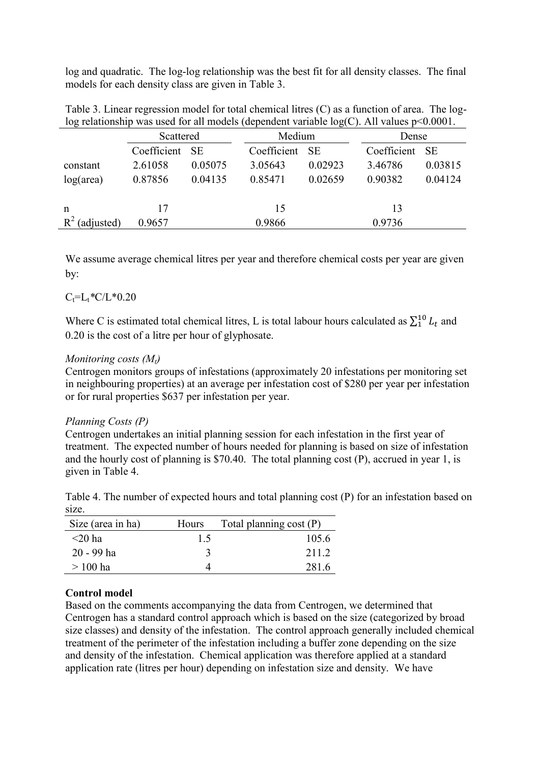log and quadratic. The log-log relationship was the best fit for all density classes. The final models for each density class are given in Table 3.

| Table 3. Linear regression model for total chemical litres (C) as a function of area. The log-  |  |
|-------------------------------------------------------------------------------------------------|--|
| log relationship was used for all models (dependent variable $log(C)$ . All values $p<0.0001$ . |  |

|                     | Scattered      |         | Medium      |         | Dense       |         |
|---------------------|----------------|---------|-------------|---------|-------------|---------|
|                     | Coefficient SE |         | Coefficient | - SE    | Coefficient | - SE    |
| constant            | 2.61058        | 0.05075 | 3.05643     | 0.02923 | 3.46786     | 0.03815 |
| $log(\text{area})$  | 0.87856        | 0.04135 | 0.85471     | 0.02659 | 0.90382     | 0.04124 |
|                     |                |         |             |         |             |         |
| $\mathsf{n}$        | 17             |         | 15          |         | 13          |         |
| $R^2$<br>(adjusted) | 0.9657         |         | 0.9866      |         | 0.9736      |         |

We assume average chemical litres per year and therefore chemical costs per year are given by:

# $C_t = L_t * C / L * 0.20$

Where C is estimated total chemical litres, L is total labour hours calculated as  $\sum_{1}^{10} L_t$  and 0.20 is the cost of a litre per hour of glyphosate.

#### *Monitoring costs (Mt)*

Centrogen monitors groups of infestations (approximately 20 infestations per monitoring set in neighbouring properties) at an average per infestation cost of \$280 per year per infestation or for rural properties \$637 per infestation per year.

#### *Planning Costs (P)*

Centrogen undertakes an initial planning session for each infestation in the first year of treatment. The expected number of hours needed for planning is based on size of infestation and the hourly cost of planning is \$70.40. The total planning cost (P), accrued in year 1, is given in Table 4.

Table 4. The number of expected hours and total planning cost (P) for an infestation based on size.

| Size (area in ha) | <b>Hours</b> | Total planning cost $(P)$ |
|-------------------|--------------|---------------------------|
| $<$ 20 ha         | 15           | 105.6                     |
| $20 - 99$ ha      |              | 2112                      |
| $>100$ ha         |              | 281.6                     |

# **Control model**

Based on the comments accompanying the data from Centrogen, we determined that Centrogen has a standard control approach which is based on the size (categorized by broad size classes) and density of the infestation. The control approach generally included chemical treatment of the perimeter of the infestation including a buffer zone depending on the size and density of the infestation. Chemical application was therefore applied at a standard application rate (litres per hour) depending on infestation size and density. We have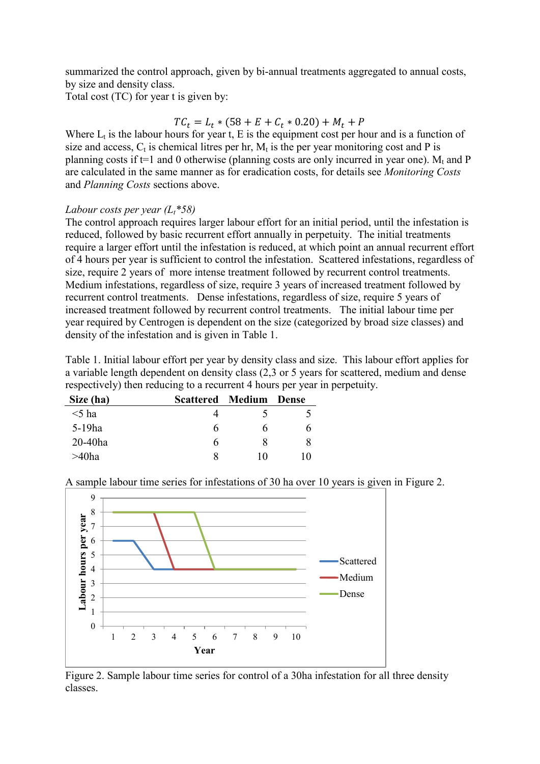summarized the control approach, given by bi-annual treatments aggregated to annual costs, by size and density class.

Total cost (TC) for year t is given by:

### $TC_t = L_t * (58 + E + C_t * 0.20) + M_t + P$

Where  $L_t$  is the labour hours for year t, E is the equipment cost per hour and is a function of size and access,  $C_t$  is chemical litres per hr,  $M_t$  is the per year monitoring cost and P is planning costs if  $t=1$  and 0 otherwise (planning costs are only incurred in year one).  $M_t$  and P are calculated in the same manner as for eradication costs, for details see *Monitoring Costs* and *Planning Costs* sections above.

### *Labour costs per year (Lt\*58)*

The control approach requires larger labour effort for an initial period, until the infestation is reduced, followed by basic recurrent effort annually in perpetuity. The initial treatments require a larger effort until the infestation is reduced, at which point an annual recurrent effort of 4 hours per year is sufficient to control the infestation. Scattered infestations, regardless of size, require 2 years of more intense treatment followed by recurrent control treatments. Medium infestations, regardless of size, require 3 years of increased treatment followed by recurrent control treatments. Dense infestations, regardless of size, require 5 years of increased treatment followed by recurrent control treatments. The initial labour time per year required by Centrogen is dependent on the size (categorized by broad size classes) and density of the infestation and is given in Table 1.

Table 1. Initial labour effort per year by density class and size. This labour effort applies for a variable length dependent on density class (2,3 or 5 years for scattered, medium and dense respectively) then reducing to a recurrent 4 hours per year in perpetuity.

| Size (ha)  | <b>Scattered Medium</b> |    | - Dense |
|------------|-------------------------|----|---------|
| $<$ 5 ha   |                         |    |         |
| $5-19$ ha  | h                       | n  | O       |
| $20-40$ ha | h                       | x  |         |
| $>40$ ha   | х                       | 10 | l ()    |

9 8 Labour hours per year **Labour hours per year** 7 6 5 Scattered 4 Medium 3 Dense2 1 0 1 2 3 4 5 6 7 8 9 10 **Year**

A sample labour time series for infestations of 30 ha over 10 years is given in Figure 2.

Figure 2. Sample labour time series for control of a 30ha infestation for all three density classes.